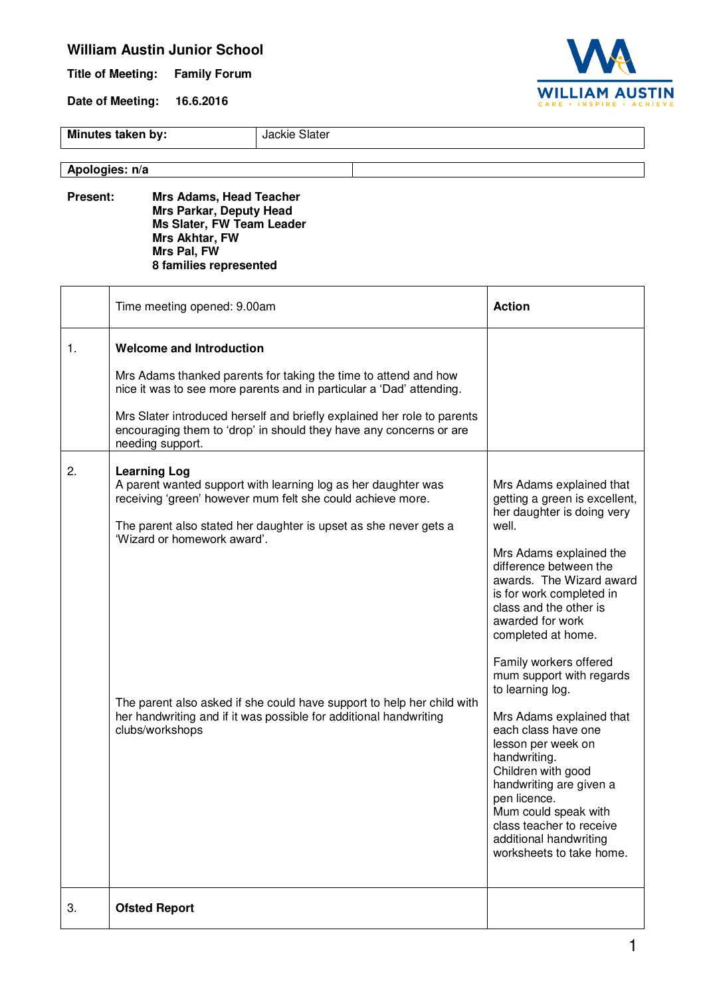## **William Austin Junior School**

**Title of Meeting: Family Forum** 

**Date of Meeting: 16.6.2016** 



**Minutes taken by:** Jackie Slater

**Apologies: n/a**

**Present: Mrs Adams, Head Teacher Mrs Parkar, Deputy Head Ms Slater, FW Team Leader Mrs Akhtar, FW Mrs Pal, FW 8 families represented** 

|    | Time meeting opened: 9.00am                                                                                                                                                                                                                                                                                                                                                                                             | <b>Action</b>                                                                                                                                                                                                                                                                                                                                                                                                                                                                                                                                                                                                                   |
|----|-------------------------------------------------------------------------------------------------------------------------------------------------------------------------------------------------------------------------------------------------------------------------------------------------------------------------------------------------------------------------------------------------------------------------|---------------------------------------------------------------------------------------------------------------------------------------------------------------------------------------------------------------------------------------------------------------------------------------------------------------------------------------------------------------------------------------------------------------------------------------------------------------------------------------------------------------------------------------------------------------------------------------------------------------------------------|
| 1. | <b>Welcome and Introduction</b><br>Mrs Adams thanked parents for taking the time to attend and how<br>nice it was to see more parents and in particular a 'Dad' attending.<br>Mrs Slater introduced herself and briefly explained her role to parents<br>encouraging them to 'drop' in should they have any concerns or are<br>needing support.                                                                         |                                                                                                                                                                                                                                                                                                                                                                                                                                                                                                                                                                                                                                 |
| 2. | <b>Learning Log</b><br>A parent wanted support with learning log as her daughter was<br>receiving 'green' however mum felt she could achieve more.<br>The parent also stated her daughter is upset as she never gets a<br>'Wizard or homework award'.<br>The parent also asked if she could have support to help her child with<br>her handwriting and if it was possible for additional handwriting<br>clubs/workshops | Mrs Adams explained that<br>getting a green is excellent,<br>her daughter is doing very<br>well.<br>Mrs Adams explained the<br>difference between the<br>awards. The Wizard award<br>is for work completed in<br>class and the other is<br>awarded for work<br>completed at home.<br>Family workers offered<br>mum support with regards<br>to learning log.<br>Mrs Adams explained that<br>each class have one<br>lesson per week on<br>handwriting.<br>Children with good<br>handwriting are given a<br>pen licence.<br>Mum could speak with<br>class teacher to receive<br>additional handwriting<br>worksheets to take home. |
| 3. | <b>Ofsted Report</b>                                                                                                                                                                                                                                                                                                                                                                                                    |                                                                                                                                                                                                                                                                                                                                                                                                                                                                                                                                                                                                                                 |